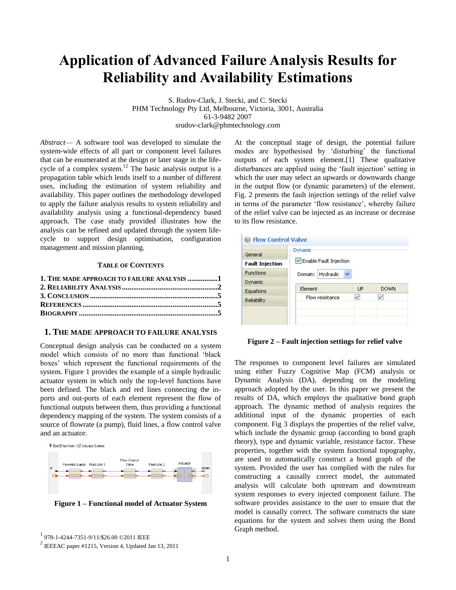# **Application of Advanced Failure Analysis Results for Reliability and Availability Estimations**

S. Rudov-Clark, J. Stecki, and C. Stecki PHM Technology Pty Ltd, Melbourne, Victoria, 3001, Australia 61-3-9482 2007 srudov-clark@phmtechnology.com

*Abstract*— A software tool was developed to simulate the system-wide effects of all part or component level failures that can be enumerated at the design or later stage in the lifecycle of a complex system.<sup>12</sup> The basic analysis output is a propagation table which lends itself to a number of different uses, including the estimation of system reliability and availability. This paper outlines the methodology developed to apply the failure analysis results to system reliability and availability analysis using a functional-dependency based approach. The case study provided illustrates how the analysis can be refined and updated through the system lifecycle to support design optimisation, configuration management and mission planning.

#### **TABLE OF CONTENTS**

| 1. THE MADE APPROACH TO FAILURE ANALYSIS 1 |  |
|--------------------------------------------|--|
|                                            |  |
|                                            |  |
|                                            |  |
|                                            |  |

## <span id="page-0-0"></span>**1. THE MADE APPROACH TO FAILURE ANALYSIS**

Conceptual design analysis can be conducted on a system model which consists of no more than functional 'black boxes' which represent the functional requirements of the system. Figure 1 provides the example of a simple hydraulic actuator system in which only the top-level functions have been defined. The black and red lines connecting the inports and out-ports of each element represent the flow of functional outputs between them, thus providing a functional dependency mapping of the system. The system consists of a source of flowrate (a pump), fluid lines, a flow control valve and an actuator.



**Figure 1 – Functional model of Actuator System**

At the conceptual stage of design, the potential failure modes are hypothesised by 'disturbing' the functional outputs of each system element.[1] These qualitative disturbances are applied using the 'fault injection' setting in which the user may select an upwards or downwards change in the output flow (or dynamic parameters) of the element. Fig. 2 presents the fault injection settings of the relief valve in terms of the parameter 'flow resistance', whereby failure of the relief valve can be injected as an increase or decrease to its flow resistance.

| <b>Dynamic</b>                       |                                                      |             |
|--------------------------------------|------------------------------------------------------|-------------|
|                                      |                                                      |             |
|                                      |                                                      |             |
| Hydraulic<br>$\checkmark$<br>Domain: |                                                      |             |
|                                      |                                                      |             |
|                                      |                                                      | <b>DOWN</b> |
|                                      |                                                      |             |
|                                      |                                                      |             |
|                                      |                                                      |             |
|                                      | Enable Fault Injection<br>Element<br>Flow resistance | <b>TIP</b>  |

#### **Figure 2 – Fault injection settings for relief valve**

The responses to component level failures are simulated using either Fuzzy Cognitive Map (FCM) analysis or Dynamic Analysis (DA), depending on the modeling approach adopted by the user. In this paper we present the results of DA, which employs the qualitative bond graph approach. The dynamic method of analysis requires the additional input of the dynamic properties of each component. Fig 3 displays the properties of the relief valve, which include the dynamic group (according to bond graph theory), type and dynamic variable, resistance factor. These properties, together with the system functional topography, are used to automatically construct a bond graph of the system. Provided the user has complied with the rules for constructing a causally correct model, the automated analysis will calculate both upstream and downstream system responses to every injected component failure. The software provides assistance to the user to ensure that the model is causally correct. The software constructs the state equations for the system and solves them using the Bond Graph method.

<sup>1</sup> 978-1-4244-7351-9/11/\$26.00 ©2011 IEEE

 $2$  IEEEAC paper #1215, Version 4, Updated Jan 13, 2011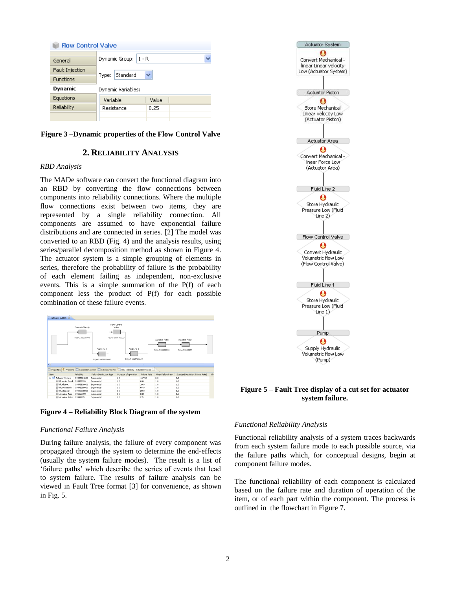| <b>Flow Control Valve</b>     |                      |       |  |  |
|-------------------------------|----------------------|-------|--|--|
| General                       | Dynamic Group: 1 - R |       |  |  |
| Fault Injection               |                      |       |  |  |
| <b>Functions</b>              | Standard<br>Type:    |       |  |  |
| Dynamic<br>Dynamic Variables: |                      |       |  |  |
| Equations                     | Variable             | Value |  |  |
| Reliability                   | Resistance           | 0.25  |  |  |
|                               |                      |       |  |  |

<span id="page-1-0"></span>**Figure 3 –Dynamic properties of the Flow Control Valve** 

## **2. RELIABILITY ANALYSIS**

## *RBD Analysis*

The MADe software can convert the functional diagram into an RBD by converting the flow connections between components into reliability connections. Where the multiple flow connections exist between two items, they are represented by a single reliability connection. All components are assumed to have exponential failure distributions and are connected in series. [2] The model was converted to an RBD (Fig. 4) and the analysis results, using series/parallel decomposition method as shown in Figure 4. The actuator system is a simple grouping of elements in series, therefore the probability of failure is the probability of each element failing as independent, non-exclusive events. This is a simple summation of the P(f) of each component less the product of P(f) for each possible combination of these failure events.





## *Functional Failure Analysis*

During failure analysis, the failure of every component was propagated through the system to determine the end-effects (usually the system failure modes). The result is a list of 'failure paths' which describe the series of events that lead to system failure. The results of failure analysis can be viewed in Fault Tree format [3] for convenience, as shown in Fig. 5.



## **Figure 5 – Fault Tree display of a cut set for actuator system failure.**

## *Functional Reliability Analysis*

Functional reliability analysis of a system traces backwards from each system failure mode to each possible source, via the failure paths which, for conceptual designs, begin at component failure modes.

The functional reliability of each component is calculated based on the failure rate and duration of operation of the item, or of each part within the component. The process is outlined in the flowchart in Figure 7.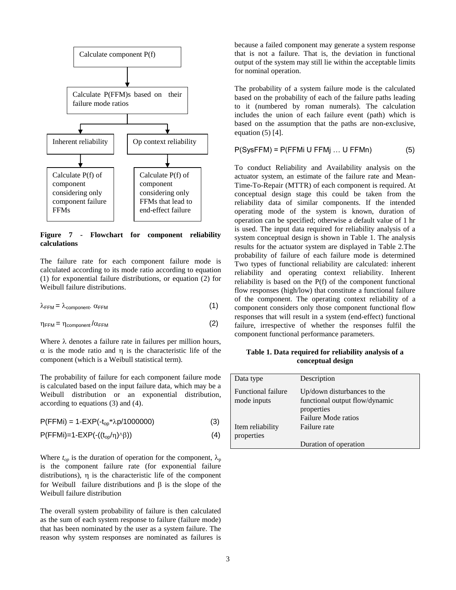

**Figure 7 - Flowchart for component reliability calculations**

The failure rate for each component failure mode is calculated according to its mode ratio according to equation (1) for exponential failure distributions, or equation (2) for Weibull failure distributions.

$$
\lambda_{FFM} = \lambda_{\text{component}} \alpha_{FFM} \tag{1}
$$

$$
\eta_{FFM} = \eta_{\text{component}} / \alpha_{FFM} \tag{2}
$$

Where  $\lambda$  denotes a failure rate in failures per million hours,  $\alpha$  is the mode ratio and  $\eta$  is the characteristic life of the component (which is a Weibull statistical term).

The probability of failure for each component failure mode is calculated based on the input failure data, which may be a Weibull distribution or an exponential distribution, according to equations (3) and (4).

| $P(FFMi) = 1-EXP(-t_{op} * \lambda p/1000000)$ | (3) |
|------------------------------------------------|-----|
|------------------------------------------------|-----|

$$
P(FFMi)=1-EXP\left(\frac{1}{\log(1)}\right)^{1/\beta}\left(\frac{1}{\beta}\right)
$$
\n(4)

Where  $t_{op}$  is the duration of operation for the component,  $\lambda_p$ is the component failure rate (for exponential failure distributions),  $\eta$  is the characteristic life of the component for Weibull failure distributions and  $\beta$  is the slope of the Weibull failure distribution

The overall system probability of failure is then calculated as the sum of each system response to failure (failure mode) that has been nominated by the user as a system failure. The reason why system responses are nominated as failures is because a failed component may generate a system response that is not a failure. That is, the deviation in functional output of the system may still lie within the acceptable limits for nominal operation.

The probability of a system failure mode is the calculated based on the probability of each of the failure paths leading to it (numbered by roman numerals). The calculation includes the union of each failure event (path) which is based on the assumption that the paths are non-exclusive, equation  $(5)$  [4].

$$
P(SysFFM) = P(FFMi U FFMj ... U FFMn)
$$
 (5)

To conduct Reliability and Availability analysis on the actuator system, an estimate of the failure rate and Mean-Time-To-Repair (MTTR) of each component is required. At conceptual design stage this could be taken from the reliability data of similar components. If the intended operating mode of the system is known, duration of operation can be specified; otherwise a default value of 1 hr is used. The input data required for reliability analysis of a system conceptual design is shown in Table 1. The analysis results for the actuator system are displayed in Table 2.The probability of failure of each failure mode is determined Two types of functional reliability are calculated: inherent reliability and operating context reliability. Inherent reliability is based on the P(f) of the component functional flow responses (high/low) that constitute a functional failure of the component. The operating context reliability of a component considers only those component functional flow responses that will result in a system (end-effect) functional failure, irrespective of whether the responses fulfil the component functional performance parameters.

**Table 1. Data required for reliability analysis of a conceptual design**

| Data type                                | Description                                                   |
|------------------------------------------|---------------------------------------------------------------|
| <b>Functional failure</b><br>mode inputs | Up/down disturbances to the<br>functional output flow/dynamic |
|                                          | properties                                                    |
|                                          | Failure Mode ratios                                           |
| Item reliability                         | Failure rate                                                  |
| properties                               |                                                               |
|                                          | Duration of operation                                         |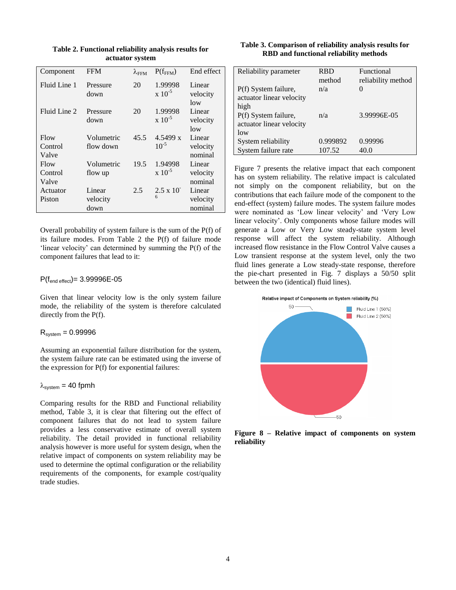| actuator system |                  |                        |                         |                           |
|-----------------|------------------|------------------------|-------------------------|---------------------------|
| Component       | <b>FFM</b>       | $\lambda_{\text{FFM}}$ | $P(f_{FFM})$            | End effect                |
| Fluid Line 1    | Pressure<br>down | 20                     | 1.99998<br>$x\ 10^{-5}$ | Linear<br>velocity<br>low |
| Fluid Line 2    | Pressure<br>down | 20                     | 1.99998<br>$x\ 10^{-5}$ | Linear<br>velocity<br>low |
| Flow            | Volumetric       | 45.5                   | 4.5499 x                | Linear                    |
| Control         | flow down        |                        | $10^{-5}$               | velocity                  |
| Valve           |                  |                        |                         | nominal                   |
| Flow            | Volumetric       | 19.5                   | 1.94998                 | Linear                    |
| Control         | flow up          |                        | $x\ 10^{-5}$            | velocity                  |
| Valve           |                  |                        |                         | nominal                   |
| Actuator        | Linear           | 2.5                    | $2.5 \times 10^{-7}$    | Linear                    |

**Table 2. Functional reliability analysis results for actuator system**

Overall probability of system failure is the sum of the P(f) of its failure modes. From Table 2 the P(f) of failure mode 'linear velocity' can determined by summing the P(f) of the component failures that lead to it:

6

velocity nominal

## $P(f_{\text{end effect}})=3.99996E-05$

velocity down

Given that linear velocity low is the only system failure mode, the reliability of the system is therefore calculated directly from the P(f).

## $R_{\text{system}} = 0.99996$

Piston

Assuming an exponential failure distribution for the system, the system failure rate can be estimated using the inverse of the expression for P(f) for exponential failures:

## $\lambda_{\text{system}} = 40$  fpmh

Comparing results for the RBD and Functional reliability method, Table 3, it is clear that filtering out the effect of component failures that do not lead to system failure provides a less conservative estimate of overall system reliability. The detail provided in functional reliability analysis however is more useful for system design, when the relative impact of components on system reliability may be used to determine the optimal configuration or the reliability requirements of the components, for example cost/quality trade studies.

#### **Table 3. Comparison of reliability analysis results for RBD and functional reliability methods**

| Reliability parameter    | <b>RBD</b> | Functional         |
|--------------------------|------------|--------------------|
|                          | method     | reliability method |
| P(f) System failure,     | n/a        |                    |
| actuator linear velocity |            |                    |
| high                     |            |                    |
| P(f) System failure,     | n/a        | 3.99996E-05        |
| actuator linear velocity |            |                    |
| low                      |            |                    |
| System reliability       | 0.999892   | 0.99996            |
| System failure rate      | 107.52     | 40.0               |

Figure 7 presents the relative impact that each component has on system reliability. The relative impact is calculated not simply on the component reliability, but on the contributions that each failure mode of the component to the end-effect (system) failure modes. The system failure modes were nominated as 'Low linear velocity' and 'Very Low linear velocity'. Only components whose failure modes will generate a Low or Very Low steady-state system level response will affect the system reliability. Although increased flow resistance in the Flow Control Valve causes a Low transient response at the system level, only the two fluid lines generate a Low steady-state response, therefore the pie-chart presented in Fig. 7 displays a 50/50 split between the two (identical) fluid lines).





**Figure 8 – Relative impact of components on system reliability**